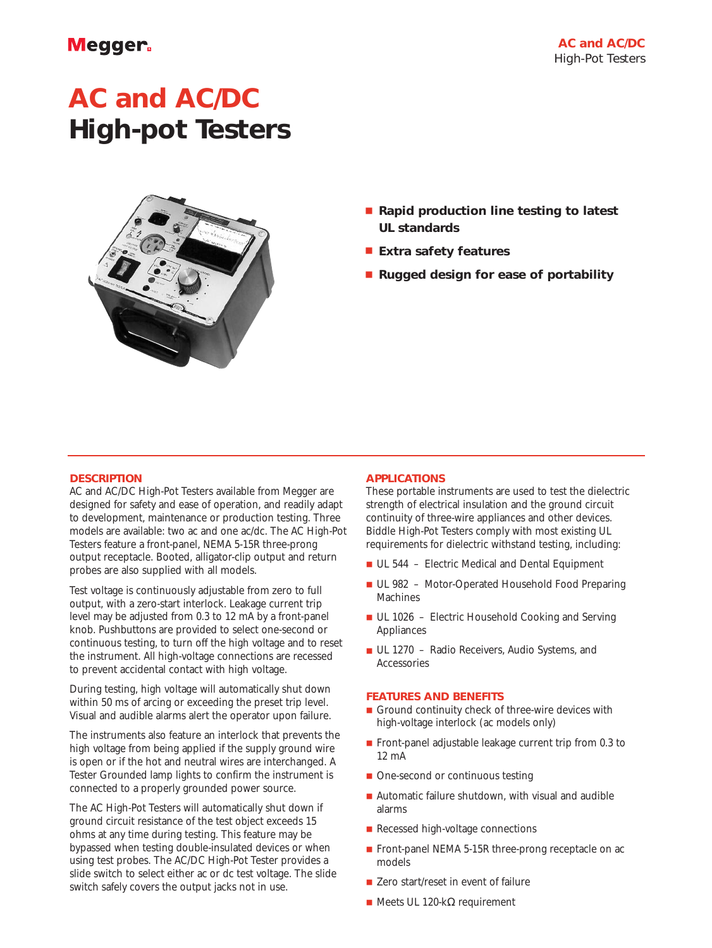# **Megger**

# **AC and AC/DC High-pot Testers**



- **Rapid production line testing to latest UL standards**
- **Extra safety features**
- **Rugged design for ease of portability**

### **DESCRIPTION**

AC and AC/DC High-Pot Testers available from Megger are designed for safety and ease of operation, and readily adapt to development, maintenance or production testing. Three models are available: two ac and one ac/dc. The AC High-Pot Testers feature a front-panel, NEMA 5-15R three-prong output receptacle. Booted, alligator-clip output and return probes are also supplied with all models.

Test voltage is continuously adjustable from zero to full output, with a zero-start interlock. Leakage current trip level may be adjusted from 0.3 to 12 mA by a front-panel knob. Pushbuttons are provided to select one-second or continuous testing, to turn off the high voltage and to reset the instrument. All high-voltage connections are recessed to prevent accidental contact with high voltage.

During testing, high voltage will automatically shut down within 50 ms of arcing or exceeding the preset trip level. Visual and audible alarms alert the operator upon failure.

The instruments also feature an interlock that prevents the high voltage from being applied if the supply ground wire is open or if the hot and neutral wires are interchanged. A Tester Grounded lamp lights to confirm the instrument is connected to a properly grounded power source.

The AC High-Pot Testers will automatically shut down if ground circuit resistance of the test object exceeds 15 ohms at any time during testing. This feature may be bypassed when testing double-insulated devices or when using test probes. The AC/DC High-Pot Tester provides a slide switch to select either ac or dc test voltage. The slide switch safely covers the output jacks not in use.

#### **APPLICATIONS**

These portable instruments are used to test the dielectric strength of electrical insulation and the ground circuit continuity of three-wire appliances and other devices. Biddle High-Pot Testers comply with most existing UL requirements for dielectric withstand testing, including:

- UL 544 Electric Medical and Dental Equipment
- UL 982 Motor-Operated Household Food Preparing Machines
- UL 1026 Electric Household Cooking and Serving Appliances
- UL 1270 Radio Receivers, Audio Systems, and Accessories

#### **FEATURES AND BENEFITS**

- Ground continuity check of three-wire devices with high-voltage interlock (ac models only)
- Front-panel adjustable leakage current trip from 0.3 to 12 mA
- One-second or continuous testing
- Automatic failure shutdown, with visual and audible alarms
- Recessed high-voltage connections
- Front-panel NEMA 5-15R three-prong receptacle on ac models
- Zero start/reset in event of failure
- Meets UL 120-kΩ requirement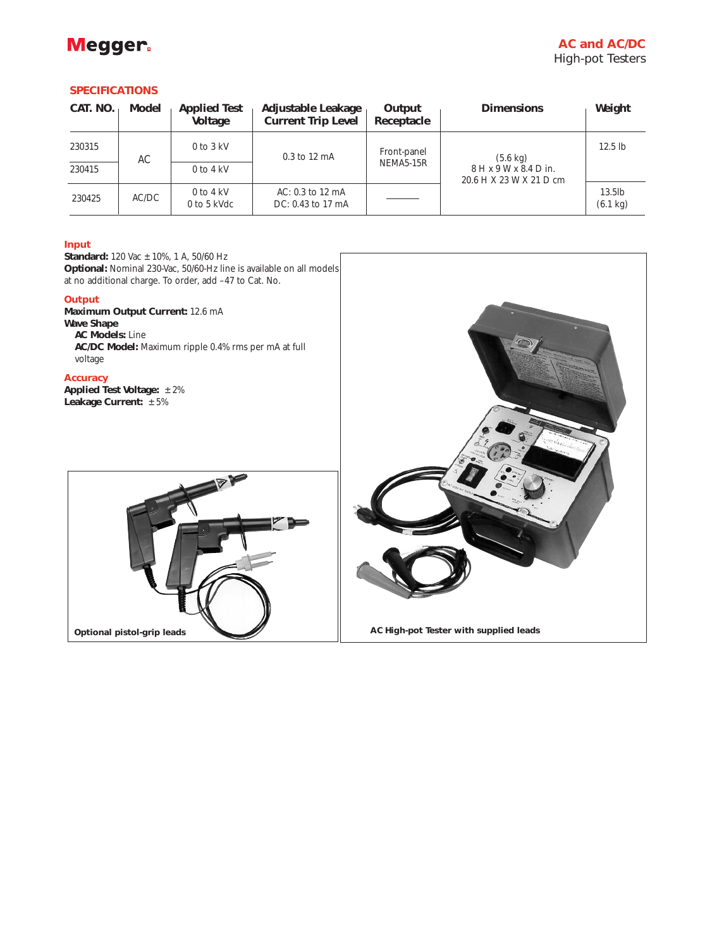

## **SPECIFICATIONS**

| CAT. NO. | Model | <b>Applied Test</b><br>Voltage | Adjustable Leakage<br><b>Current Trip Level</b> | Output<br>Receptacle     | <b>Dimensions</b>                                                        | Weight                          |
|----------|-------|--------------------------------|-------------------------------------------------|--------------------------|--------------------------------------------------------------------------|---------------------------------|
| 230315   | АC    | $0$ to $3$ kV                  | 0.3 to 12 mA                                    | Front-panel<br>NEMA5-15R | $(5.6 \text{ kg})$<br>$8$ H x 9 W x 8.4 D in.<br>20.6 H X 23 W X 21 D cm | $12.5$ lb                       |
| 230415   |       | $0$ to $4$ kV                  |                                                 |                          |                                                                          |                                 |
| 230425   | AC/DC | $0$ to $4$ kV<br>0 to 5 kVdc   | AC: 0.3 to 12 mA<br>DC: 0.43 to 17 mA           |                          |                                                                          | $13.5$ lb<br>$(6.1 \text{ kg})$ |

#### **Input**

**Standard:** 120 Vac ±10%, 1 A, 50/60 Hz **Optional:** Nominal 230-Vac, 50/60-Hz line is available on all models at no additional charge. To order, add –47 to Cat. No.

#### **Output**

**Maximum Output Current:** 12.6 mA **Wave Shape AC Models:** Line **AC/DC Model:** Maximum ripple 0.4% rms per mA at full voltage

#### **Accuracy**

**Applied Test Voltage:** ±2% **Leakage Current:** ±5%



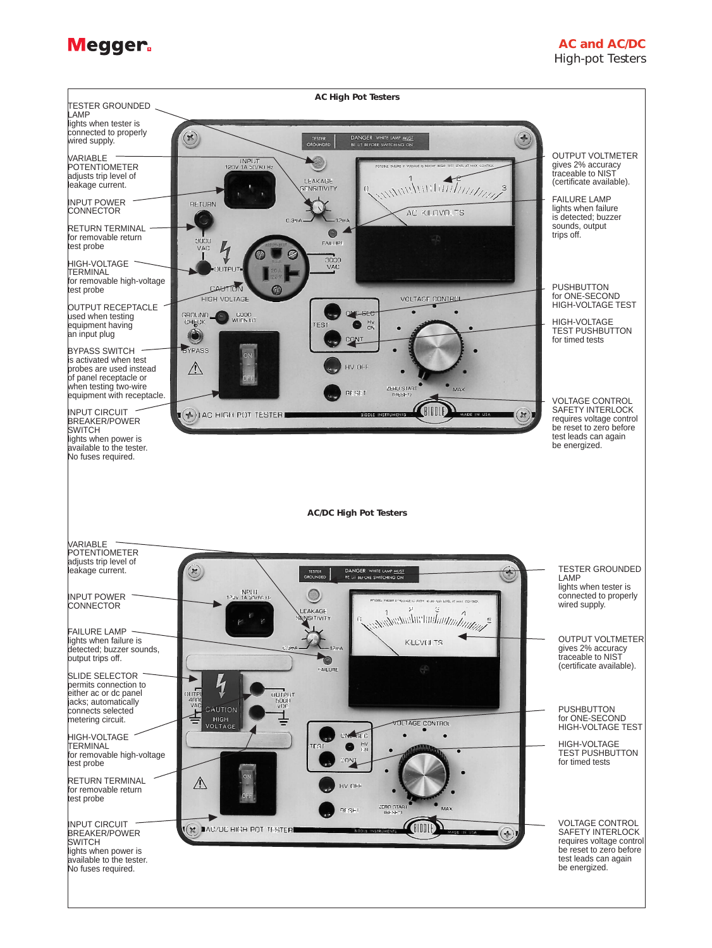